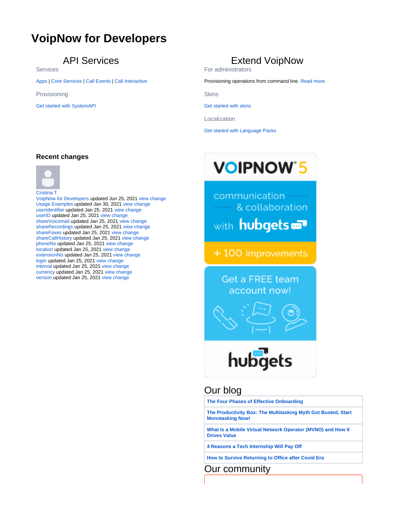# <span id="page-0-0"></span>**VoipNow for Developers**

### API Services

Services

[Apps](https://wiki.4psa.com/display/VNUAPI30/Register+App) | [Core Services](https://wiki.4psa.com/display/VNUAPI30/VoipNow+UnifiedAPI) | [Call Events](https://wiki.4psa.com/display/VNUAPI30/VoipNow+Call+Events) | [Call Interactive](https://wiki.4psa.com/display/VNUAPI30/VoipNow+Call+Interactive)

Provisioning

[Get started with SystemAPI](https://wiki.4psa.com/display/VNUAPI30/VoipNow+SystemAPI)

## Extend VoipNow

For administrators

Provisioning operations from command line. [Read more.](https://wiki.4psa.com/display/VNUAPI30/VoipNow+Command+Line+Interface)

**Skins** 

[Get started with skins](https://wiki.4psa.com/display/VNUAPI30/VoipNow+Web+Skin+Creation+Guide)

Localization

[Get started with Language Packs](https://wiki.4psa.com/display/VNUAPI30/Localization+Packs)

### **Recent changes**



[VoipNow for Developers](#page-0-0) updated Jun 25, 2021 [view change](https://wiki.4psa.com/pages/diffpagesbyversion.action?pageId=44078580&selectedPageVersions=11&selectedPageVersions=10) [Usage Examples](https://wiki.4psa.com/display/VNUAPI30/Usage+Examples) updated Jan 30, 2021 [view change](https://wiki.4psa.com/pages/diffpagesbyversion.action?pageId=44084463&selectedPageVersions=5&selectedPageVersions=4) [userIdentifier](https://wiki.4psa.com/display/VNUAPI30/userIdentifier) updated Jan 25, 2021 [view change](https://wiki.4psa.com/pages/diffpagesbyversion.action?pageId=44079980&selectedPageVersions=24&selectedPageVersions=23) [userID](https://wiki.4psa.com/display/VNUAPI30/userID) updated Jan 25, 2021 [view change](https://wiki.4psa.com/pages/diffpagesbyversion.action?pageId=44079979&selectedPageVersions=18&selectedPageVersions=17) [shareVoicemail](https://wiki.4psa.com/display/VNUAPI30/shareVoicemail) updated Jan 25, 2021 [view change](https://wiki.4psa.com/pages/diffpagesbyversion.action?pageId=44080165&selectedPageVersions=14&selectedPageVersions=13) [shareRecordings](https://wiki.4psa.com/display/VNUAPI30/shareRecordings) updated Jan 25, 2021 [view change](https://wiki.4psa.com/pages/diffpagesbyversion.action?pageId=44080164&selectedPageVersions=14&selectedPageVersions=13) [shareFaxes](https://wiki.4psa.com/display/VNUAPI30/shareFaxes) updated Jan 25, 2021 [view change](https://wiki.4psa.com/pages/diffpagesbyversion.action?pageId=44080163&selectedPageVersions=14&selectedPageVersions=13) [shareCallHistory](https://wiki.4psa.com/display/VNUAPI30/shareCallHistory) updated Jan 25, 2021 [view change](https://wiki.4psa.com/pages/diffpagesbyversion.action?pageId=44080162&selectedPageVersions=14&selectedPageVersions=13) [phoneNo](https://wiki.4psa.com/display/VNUAPI30/phoneNo) updated Jan 25, 2021 [view change](https://wiki.4psa.com/pages/diffpagesbyversion.action?pageId=44080158&selectedPageVersions=14&selectedPageVersions=13) [location](https://wiki.4psa.com/display/VNUAPI30/location) updated Jan 25, 2021 [view change](https://wiki.4psa.com/pages/diffpagesbyversion.action?pageId=44080155&selectedPageVersions=14&selectedPageVersions=13) [extensionNo](https://wiki.4psa.com/display/VNUAPI30/extensionNo) updated Jan 25, 2021 [view change](https://wiki.4psa.com/pages/diffpagesbyversion.action?pageId=44080151&selectedPageVersions=14&selectedPageVersions=13) [login](https://wiki.4psa.com/display/VNUAPI30/login) updated Jan 25, 2021 [view change](https://wiki.4psa.com/pages/diffpagesbyversion.action?pageId=44080183&selectedPageVersions=7&selectedPageVersions=6) [interval](https://wiki.4psa.com/display/VNUAPI30/interval) updated Jan 25, 2021 [view change](https://wiki.4psa.com/pages/diffpagesbyversion.action?pageId=44080182&selectedPageVersions=7&selectedPageVersions=6) [currency](https://wiki.4psa.com/display/VNUAPI30/currency) updated Jan 25, 2021 [view change](https://wiki.4psa.com/pages/diffpagesbyversion.action?pageId=44080181&selectedPageVersions=7&selectedPageVersions=6) [version](https://wiki.4psa.com/display/VNUAPI30/version) updated Jan 25, 2021 [view change](https://wiki.4psa.com/pages/diffpagesbyversion.action?pageId=44080179&selectedPageVersions=7&selectedPageVersions=6)

**VOIPNOW'5** 

communication & collaboration

with hubgets

+100 improvements

**Get a FREE team** account now!



Our blog

**[The Four Phases of Effective Onboarding](https://blog.4psa.com/the-four-phases-of-effective-onboarding/)**

**[The Productivity Box: The Multitasking Myth Got Busted, Start](https://blog.4psa.com/the-productivity-box-multitasking-myth-got-busted-start-monotasking-now/)  [Monotasking Now!](https://blog.4psa.com/the-productivity-box-multitasking-myth-got-busted-start-monotasking-now/)**

**[What Is a Mobile Virtual Network Operator \(MVNO\) and How It](https://blog.4psa.com/what-is-a-mobile-virtual-network-operator-mvno-and-how-it-drives-value/)  [Drives Value](https://blog.4psa.com/what-is-a-mobile-virtual-network-operator-mvno-and-how-it-drives-value/)**

**[4 Reasons a Tech Internship Will Pay Off](https://blog.4psa.com/4-reasons-a-tech-internship-will-pay-off/)**

**[How to Survive Returning to Office after Covid Era](https://blog.4psa.com/returning-to-office-after-covid/)**

Our community